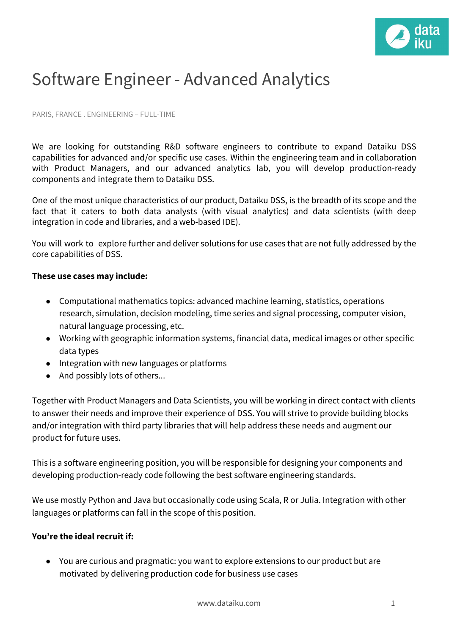

## Software Engineer - Advanced Analytics

PARIS, FRANCE . ENGINEERING – FULL-TIME

We are looking for outstanding R&D software engineers to contribute to expand Dataiku DSS capabilities for advanced and/or specific use cases. Within the engineering team and in collaboration with Product Managers, and our advanced analytics lab, you will develop production-ready components and integrate them to Dataiku DSS.

One of the most unique characteristics of our product, Dataiku DSS, is the breadth of its scope and the fact that it caters to both data analysts (with visual analytics) and data scientists (with deep integration in code and libraries, and a web-based IDE).

You will work to explore further and deliver solutions for use cases that are not fully addressed by the core capabilities of DSS.

## **These use cases may include:**

- Computational mathematics topics: advanced machine learning, statistics, operations research, simulation, decision modeling, time series and signal processing, computer vision, natural language processing, etc.
- Working with geographic information systems, financial data, medical images or other specific data types
- Integration with new languages or platforms
- And possibly lots of others...

Together with Product Managers and Data Scientists, you will be working in direct contact with clients to answer their needs and improve their experience of DSS. You will strive to provide building blocks and/or integration with third party libraries that will help address these needs and augment our product for future uses.

This is a software engineering position, you will be responsible for designing your components and developing production-ready code following the best software engineering standards.

We use mostly Python and Java but occasionally code using Scala, R or Julia. Integration with other languages or platforms can fall in the scope of this position.

## **You're the ideal recruit if:**

● You are curious and pragmatic: you want to explore extensions to our product but are motivated by delivering production code for business use cases